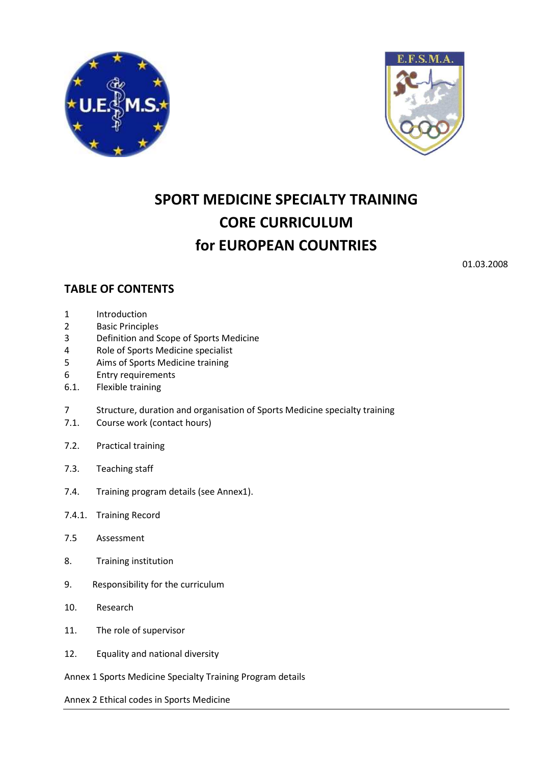



# **SPORT MEDICINE SPECIALTY TRAINING CORE CURRICULUM for EUROPEAN COUNTRIES**

01.03.2008

# **TABLE OF CONTENTS**

- 1 Introduction
- 2 Basic Principles
- 3 Definition and Scope of Sports Medicine
- 4 Role of Sports Medicine specialist
- 5 Aims of Sports Medicine training
- 6 Entry requirements
- 6.1. Flexible training
- 7 Structure, duration and organisation of Sports Medicine specialty training
- 7.1. Course work (contact hours)
- 7.2. Practical training
- 7.3. Teaching staff
- 7.4. Training program details (see Annex1).
- 7.4.1. Training Record
- 7.5 Assessment
- 8. Training institution
- 9. Responsibility for the curriculum
- 10. Research
- 11. The role of supervisor
- 12. Equality and national diversity
- Annex 1 Sports Medicine Specialty Training Program details

Annex 2 Ethical codes in Sports Medicine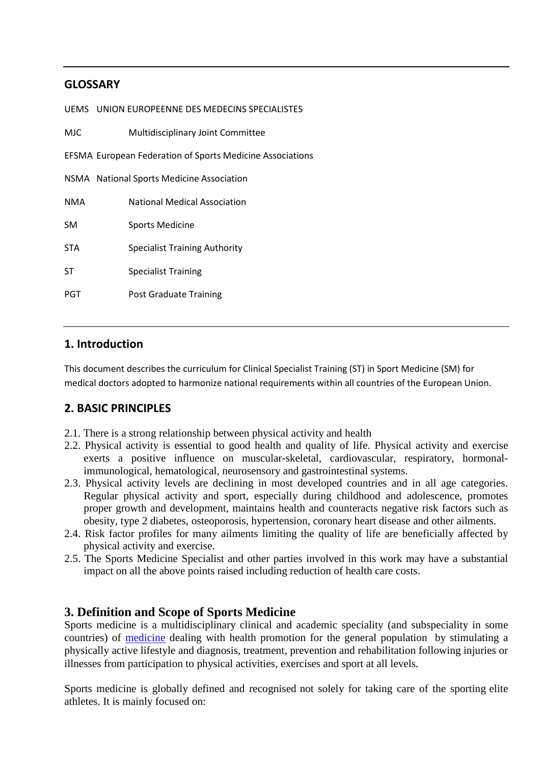# **GLOSSARY**

|            | UEMS UNION EUROPEENNE DES MEDECINS SPECIALISTES                  |
|------------|------------------------------------------------------------------|
| <b>MJC</b> | Multidisciplinary Joint Committee                                |
|            | <b>EFSMA European Federation of Sports Medicine Associations</b> |
|            | NSMA National Sports Medicine Association                        |
| <b>NMA</b> | <b>National Medical Association</b>                              |
| <b>SM</b>  | Sports Medicine                                                  |
| <b>STA</b> | <b>Specialist Training Authority</b>                             |
| ST         | <b>Specialist Training</b>                                       |
| PGT        | <b>Post Graduate Training</b>                                    |
|            |                                                                  |

# **1. Introduction**

This document describes the curriculum for Clinical Specialist Training (ST) in Sport Medicine (SM) for medical doctors adopted to harmonize national requirements within all countries of the European Union.

# **2. BASIC PRINCIPLES**

- 2.1. There is a strong relationship between physical activity and health
- 2.2. Physical activity is essential to good health and quality of life. Physical activity and exercise exerts a positive influence on muscular-skeletal, cardiovascular, respiratory, hormonalimmunological, hematological, neurosensory and gastrointestinal systems.
- 2.3. Physical activity levels are declining in most developed countries and in all age categories. Regular physical activity and sport, especially during childhood and adolescence, promotes proper growth and development, maintains health and counteracts negative risk factors such as obesity, type 2 diabetes, osteoporosis, hypertension, coronary heart disease and other ailments.
- 2.4. Risk factor profiles for many ailments limiting the quality of life are beneficially affected by physical activity and exercise.
- 2.5. The Sports Medicine Specialist and other parties involved in this work may have a substantial impact on all the above points raised including reduction of health care costs.

# **3. Definition and Scope of Sports Medicine**

Sports medicine is a multidisciplinary clinical and academic speciality (and subspeciality in some countries) of medicine dealing with health promotion for the general population by stimulating a physically active lifestyle and diagnosis, treatment, prevention and rehabilitation following injuries or illnesses from participation to physical activities, exercises and sport at all levels*.* 

Sports medicine is globally defined and recognised not solely for taking care of the sporting elite athletes. It is mainly focused on: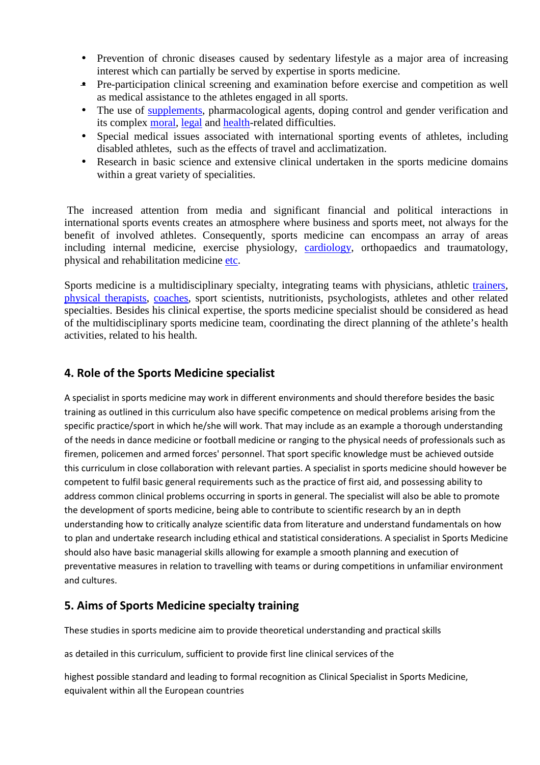- Prevention of chronic diseases caused by sedentary lifestyle as a major area of increasing interest which can partially be served by expertise in sports medicine.
- Pre-participation clinical screening and examination before exercise and competition as well as medical assistance to the athletes engaged in all sports.
- The use of supplements, pharmacological agents, doping control and gender verification and its complex moral, legal and health-related difficulties.
- Special medical issues associated with international sporting events of athletes, including disabled athletes, such as the effects of travel and acclimatization.
- Research in basic science and extensive clinical undertaken in the sports medicine domains within a great variety of specialities.

 The increased attention from media and significant financial and political interactions in international sports events creates an atmosphere where business and sports meet, not always for the benefit of involved athletes. Consequently, sports medicine can encompass an array of areas including internal medicine, exercise physiology, cardiology, orthopaedics and traumatology, physical and rehabilitation medicine etc.

Sports medicine is a multidisciplinary specialty, integrating teams with physicians, athletic trainers, physical therapists, coaches, sport scientists, nutritionists, psychologists, athletes and other related specialties. Besides his clinical expertise, the sports medicine specialist should be considered as head of the multidisciplinary sports medicine team, coordinating the direct planning of the athlete's health activities, related to his health.

# **4. Role of the Sports Medicine specialist**

A specialist in sports medicine may work in different environments and should therefore besides the basic training as outlined in this curriculum also have specific competence on medical problems arising from the specific practice/sport in which he/she will work. That may include as an example a thorough understanding of the needs in dance medicine or football medicine or ranging to the physical needs of professionals such as firemen, policemen and armed forces' personnel. That sport specific knowledge must be achieved outside this curriculum in close collaboration with relevant parties. A specialist in sports medicine should however be competent to fulfil basic general requirements such as the practice of first aid, and possessing ability to address common clinical problems occurring in sports in general. The specialist will also be able to promote the development of sports medicine, being able to contribute to scientific research by an in depth understanding how to critically analyze scientific data from literature and understand fundamentals on how to plan and undertake research including ethical and statistical considerations. A specialist in Sports Medicine should also have basic managerial skills allowing for example a smooth planning and execution of preventative measures in relation to travelling with teams or during competitions in unfamiliar environment and cultures.

# **5. Aims of Sports Medicine specialty training**

These studies in sports medicine aim to provide theoretical understanding and practical skills

as detailed in this curriculum, sufficient to provide first line clinical services of the

highest possible standard and leading to formal recognition as Clinical Specialist in Sports Medicine, equivalent within all the European countries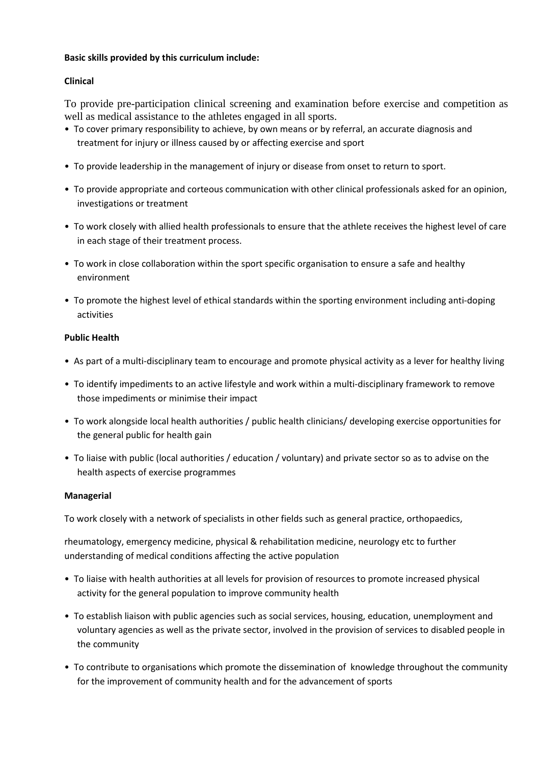# **Basic skills provided by this curriculum include:**

# **Clinical**

To provide pre-participation clinical screening and examination before exercise and competition as well as medical assistance to the athletes engaged in all sports.

- To cover primary responsibility to achieve, by own means or by referral, an accurate diagnosis and treatment for injury or illness caused by or affecting exercise and sport
- To provide leadership in the management of injury or disease from onset to return to sport.
- To provide appropriate and corteous communication with other clinical professionals asked for an opinion, investigations or treatment
- To work closely with allied health professionals to ensure that the athlete receives the highest level of care in each stage of their treatment process.
- To work in close collaboration within the sport specific organisation to ensure a safe and healthy environment
- To promote the highest level of ethical standards within the sporting environment including anti-doping activities

# **Public Health**

- As part of a multi-disciplinary team to encourage and promote physical activity as a lever for healthy living
- To identify impediments to an active lifestyle and work within a multi-disciplinary framework to remove those impediments or minimise their impact
- To work alongside local health authorities / public health clinicians/ developing exercise opportunities for the general public for health gain
- To liaise with public (local authorities / education / voluntary) and private sector so as to advise on the health aspects of exercise programmes

### **Managerial**

To work closely with a network of specialists in other fields such as general practice, orthopaedics,

rheumatology, emergency medicine, physical & rehabilitation medicine, neurology etc to further understanding of medical conditions affecting the active population

- To liaise with health authorities at all levels for provision of resources to promote increased physical activity for the general population to improve community health
- To establish liaison with public agencies such as social services, housing, education, unemployment and voluntary agencies as well as the private sector, involved in the provision of services to disabled people in the community
- To contribute to organisations which promote the dissemination of knowledge throughout the community for the improvement of community health and for the advancement of sports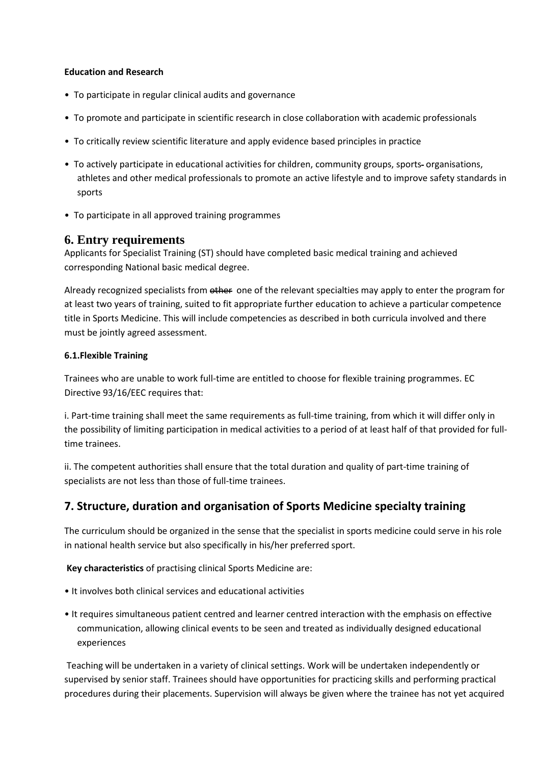# **Education and Research**

- To participate in regular clinical audits and governance
- To promote and participate in scientific research in close collaboration with academic professionals
- To critically review scientific literature and apply evidence based principles in practice
- To actively participate in educational activities for children, community groups, sports-organisations, athletes and other medical professionals to promote an active lifestyle and to improve safety standards in sports
- To participate in all approved training programmes

# **6. Entry requirements**

Applicants for Specialist Training (ST) should have completed basic medical training and achieved corresponding National basic medical degree.

Already recognized specialists from other one of the relevant specialties may apply to enter the program for at least two years of training, suited to fit appropriate further education to achieve a particular competence title in Sports Medicine. This will include competencies as described in both curricula involved and there must be jointly agreed assessment.

# **6.1.Flexible Training**

Trainees who are unable to work full-time are entitled to choose for flexible training programmes. EC Directive 93/16/EEC requires that:

i. Part-time training shall meet the same requirements as full-time training, from which it will differ only in the possibility of limiting participation in medical activities to a period of at least half of that provided for fulltime trainees.

ii. The competent authorities shall ensure that the total duration and quality of part-time training of specialists are not less than those of full-time trainees.

# **7. Structure, duration and organisation of Sports Medicine specialty training**

The curriculum should be organized in the sense that the specialist in sports medicine could serve in his role in national health service but also specifically in his/her preferred sport.

**Key characteristics** of practising clinical Sports Medicine are:

- It involves both clinical services and educational activities
- It requires simultaneous patient centred and learner centred interaction with the emphasis on effective communication, allowing clinical events to be seen and treated as individually designed educational experiences

 Teaching will be undertaken in a variety of clinical settings. Work will be undertaken independently or supervised by senior staff. Trainees should have opportunities for practicing skills and performing practical procedures during their placements. Supervision will always be given where the trainee has not yet acquired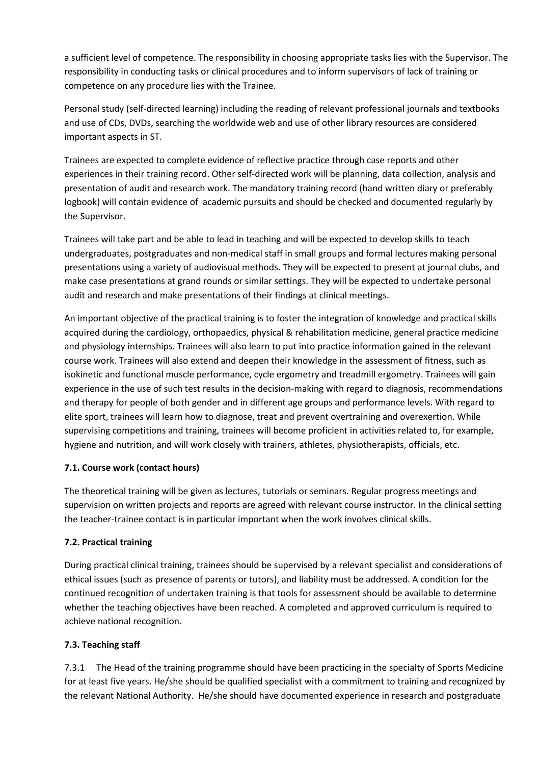a sufficient level of competence. The responsibility in choosing appropriate tasks lies with the Supervisor. The responsibility in conducting tasks or clinical procedures and to inform supervisors of lack of training or competence on any procedure lies with the Trainee.

Personal study (self-directed learning) including the reading of relevant professional journals and textbooks and use of CDs, DVDs, searching the worldwide web and use of other library resources are considered important aspects in ST.

Trainees are expected to complete evidence of reflective practice through case reports and other experiences in their training record. Other self-directed work will be planning, data collection, analysis and presentation of audit and research work. The mandatory training record (hand written diary or preferably logbook) will contain evidence of academic pursuits and should be checked and documented regularly by the Supervisor.

Trainees will take part and be able to lead in teaching and will be expected to develop skills to teach undergraduates, postgraduates and non-medical staff in small groups and formal lectures making personal presentations using a variety of audiovisual methods. They will be expected to present at journal clubs, and make case presentations at grand rounds or similar settings. They will be expected to undertake personal audit and research and make presentations of their findings at clinical meetings.

An important objective of the practical training is to foster the integration of knowledge and practical skills acquired during the cardiology, orthopaedics, physical & rehabilitation medicine, general practice medicine and physiology internships. Trainees will also learn to put into practice information gained in the relevant course work. Trainees will also extend and deepen their knowledge in the assessment of fitness, such as isokinetic and functional muscle performance, cycle ergometry and treadmill ergometry. Trainees will gain experience in the use of such test results in the decision-making with regard to diagnosis, recommendations and therapy for people of both gender and in different age groups and performance levels. With regard to elite sport, trainees will learn how to diagnose, treat and prevent overtraining and overexertion. While supervising competitions and training, trainees will become proficient in activities related to, for example, hygiene and nutrition, and will work closely with trainers, athletes, physiotherapists, officials, etc.

# **7.1. Course work (contact hours)**

The theoretical training will be given as lectures, tutorials or seminars. Regular progress meetings and supervision on written projects and reports are agreed with relevant course instructor. In the clinical setting the teacher-trainee contact is in particular important when the work involves clinical skills.

# **7.2. Practical training**

During practical clinical training, trainees should be supervised by a relevant specialist and considerations of ethical issues (such as presence of parents or tutors), and liability must be addressed. A condition for the continued recognition of undertaken training is that tools for assessment should be available to determine whether the teaching objectives have been reached. A completed and approved curriculum is required to achieve national recognition.

# **7.3. Teaching staff**

7.3.1 The Head of the training programme should have been practicing in the specialty of Sports Medicine for at least five years. He/she should be qualified specialist with a commitment to training and recognized by the relevant National Authority. He/she should have documented experience in research and postgraduate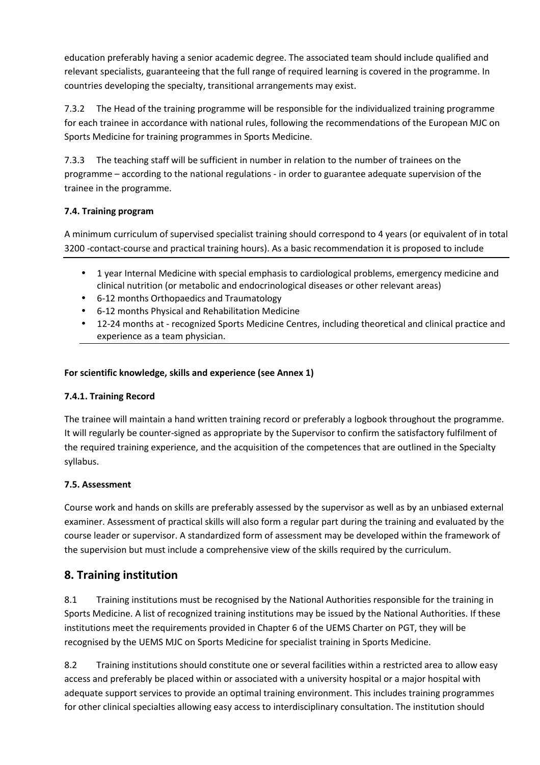education preferably having a senior academic degree. The associated team should include qualified and relevant specialists, guaranteeing that the full range of required learning is covered in the programme. In countries developing the specialty, transitional arrangements may exist.

7.3.2 The Head of the training programme will be responsible for the individualized training programme for each trainee in accordance with national rules, following the recommendations of the European MJC on Sports Medicine for training programmes in Sports Medicine.

7.3.3 The teaching staff will be sufficient in number in relation to the number of trainees on the programme – according to the national regulations - in order to guarantee adequate supervision of the trainee in the programme.

# **7.4. Training program**

A minimum curriculum of supervised specialist training should correspond to 4 years (or equivalent of in total 3200 -contact-course and practical training hours). As a basic recommendation it is proposed to include

- 1 year Internal Medicine with special emphasis to cardiological problems, emergency medicine and clinical nutrition (or metabolic and endocrinological diseases or other relevant areas)
- 6-12 months Orthopaedics and Traumatology
- 6-12 months Physical and Rehabilitation Medicine
- 12-24 months at recognized Sports Medicine Centres, including theoretical and clinical practice and experience as a team physician.

# **For scientific knowledge, skills and experience (see Annex 1)**

# **7.4.1. Training Record**

The trainee will maintain a hand written training record or preferably a logbook throughout the programme. It will regularly be counter-signed as appropriate by the Supervisor to confirm the satisfactory fulfilment of the required training experience, and the acquisition of the competences that are outlined in the Specialty syllabus.

# **7.5. Assessment**

Course work and hands on skills are preferably assessed by the supervisor as well as by an unbiased external examiner. Assessment of practical skills will also form a regular part during the training and evaluated by the course leader or supervisor. A standardized form of assessment may be developed within the framework of the supervision but must include a comprehensive view of the skills required by the curriculum.

# **8. Training institution**

8.1 Training institutions must be recognised by the National Authorities responsible for the training in Sports Medicine. A list of recognized training institutions may be issued by the National Authorities. If these institutions meet the requirements provided in Chapter 6 of the UEMS Charter on PGT, they will be recognised by the UEMS MJC on Sports Medicine for specialist training in Sports Medicine.

8.2 Training institutions should constitute one or several facilities within a restricted area to allow easy access and preferably be placed within or associated with a university hospital or a major hospital with adequate support services to provide an optimal training environment. This includes training programmes for other clinical specialties allowing easy access to interdisciplinary consultation. The institution should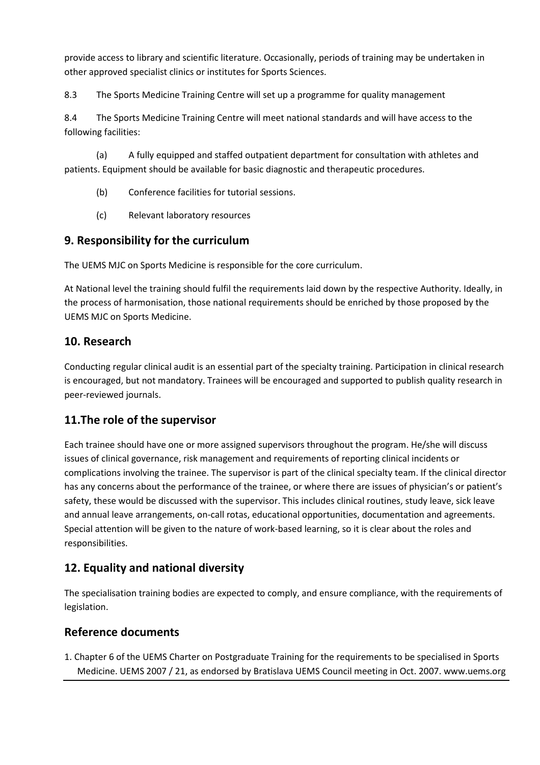provide access to library and scientific literature. Occasionally, periods of training may be undertaken in other approved specialist clinics or institutes for Sports Sciences.

8.3 The Sports Medicine Training Centre will set up a programme for quality management

8.4 The Sports Medicine Training Centre will meet national standards and will have access to the following facilities:

(a) A fully equipped and staffed outpatient department for consultation with athletes and patients. Equipment should be available for basic diagnostic and therapeutic procedures.

- (b) Conference facilities for tutorial sessions.
- (c) Relevant laboratory resources

# **9. Responsibility for the curriculum**

The UEMS MJC on Sports Medicine is responsible for the core curriculum.

At National level the training should fulfil the requirements laid down by the respective Authority. Ideally, in the process of harmonisation, those national requirements should be enriched by those proposed by the UEMS MJC on Sports Medicine.

# **10. Research**

Conducting regular clinical audit is an essential part of the specialty training. Participation in clinical research is encouraged, but not mandatory. Trainees will be encouraged and supported to publish quality research in peer-reviewed journals.

# **11.The role of the supervisor**

Each trainee should have one or more assigned supervisors throughout the program. He/she will discuss issues of clinical governance, risk management and requirements of reporting clinical incidents or complications involving the trainee. The supervisor is part of the clinical specialty team. If the clinical director has any concerns about the performance of the trainee, or where there are issues of physician's or patient's safety, these would be discussed with the supervisor. This includes clinical routines, study leave, sick leave and annual leave arrangements, on-call rotas, educational opportunities, documentation and agreements. Special attention will be given to the nature of work-based learning, so it is clear about the roles and responsibilities.

# **12. Equality and national diversity**

The specialisation training bodies are expected to comply, and ensure compliance, with the requirements of legislation.

# **Reference documents**

1. Chapter 6 of the UEMS Charter on Postgraduate Training for the requirements to be specialised in Sports Medicine. UEMS 2007 / 21, as endorsed by Bratislava UEMS Council meeting in Oct. 2007. www.uems.org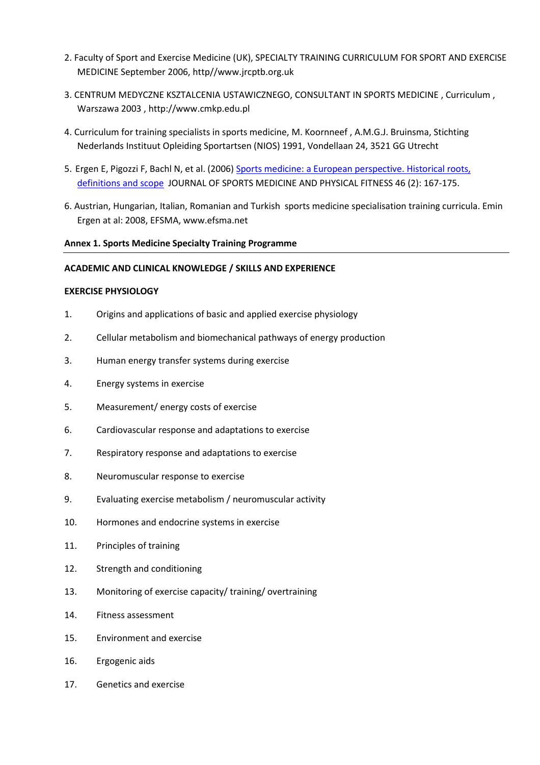- 2. Faculty of Sport and Exercise Medicine (UK), SPECIALTY TRAINING CURRICULUM FOR SPORT AND EXERCISE MEDICINE September 2006, http//www.jrcptb.org.uk
- 3. CENTRUM MEDYCZNE KSZTALCENIA USTAWICZNEGO, CONSULTANT IN SPORTS MEDICINE , Curriculum , Warszawa 2003 , http://www.cmkp.edu.pl
- 4. Curriculum for training specialists in sports medicine, M. Koornneef , A.M.G.J. Bruinsma, Stichting Nederlands Instituut Opleiding Sportartsen (NIOS) 1991, Vondellaan 24, 3521 GG Utrecht
- 5. Ergen E, Pigozzi F, Bachl N, et al. (2006) Sports medicine: a European perspective. Historical roots, definitions and scope JOURNAL OF SPORTS MEDICINE AND PHYSICAL FITNESS 46 (2): 167-175.
- 6. Austrian, Hungarian, Italian, Romanian and Turkish sports medicine specialisation training curricula. Emin Ergen at al: 2008, EFSMA, www.efsma.net

### **Annex 1. Sports Medicine Specialty Training Programme**

# **ACADEMIC AND CLINICAL KNOWLEDGE / SKILLS AND EXPERIENCE**

#### **EXERCISE PHYSIOLOGY**

- 1. Origins and applications of basic and applied exercise physiology
- 2. Cellular metabolism and biomechanical pathways of energy production
- 3. Human energy transfer systems during exercise
- 4. Energy systems in exercise
- 5. Measurement/ energy costs of exercise
- 6. Cardiovascular response and adaptations to exercise
- 7. Respiratory response and adaptations to exercise
- 8. Neuromuscular response to exercise
- 9. Evaluating exercise metabolism / neuromuscular activity
- 10. Hormones and endocrine systems in exercise
- 11. Principles of training
- 12. Strength and conditioning
- 13. Monitoring of exercise capacity/ training/ overtraining
- 14. Fitness assessment
- 15. Environment and exercise
- 16. Ergogenic aids
- 17. Genetics and exercise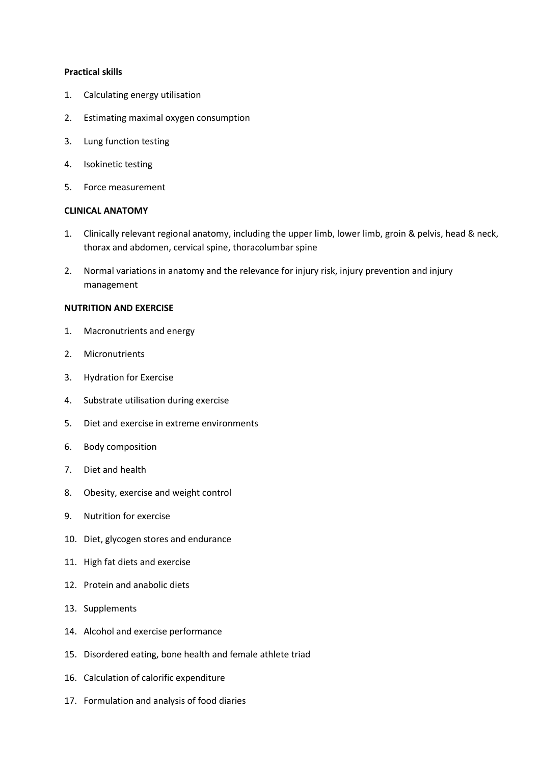#### **Practical skills**

- 1. Calculating energy utilisation
- 2. Estimating maximal oxygen consumption
- 3. Lung function testing
- 4. Isokinetic testing
- 5. Force measurement

# **CLINICAL ANATOMY**

- 1. Clinically relevant regional anatomy, including the upper limb, lower limb, groin & pelvis, head & neck, thorax and abdomen, cervical spine, thoracolumbar spine
- 2. Normal variations in anatomy and the relevance for injury risk, injury prevention and injury management

### **NUTRITION AND EXERCISE**

- 1. Macronutrients and energy
- 2. Micronutrients
- 3. Hydration for Exercise
- 4. Substrate utilisation during exercise
- 5. Diet and exercise in extreme environments
- 6. Body composition
- 7. Diet and health
- 8. Obesity, exercise and weight control
- 9. Nutrition for exercise
- 10. Diet, glycogen stores and endurance
- 11. High fat diets and exercise
- 12. Protein and anabolic diets
- 13. Supplements
- 14. Alcohol and exercise performance
- 15. Disordered eating, bone health and female athlete triad
- 16. Calculation of calorific expenditure
- 17. Formulation and analysis of food diaries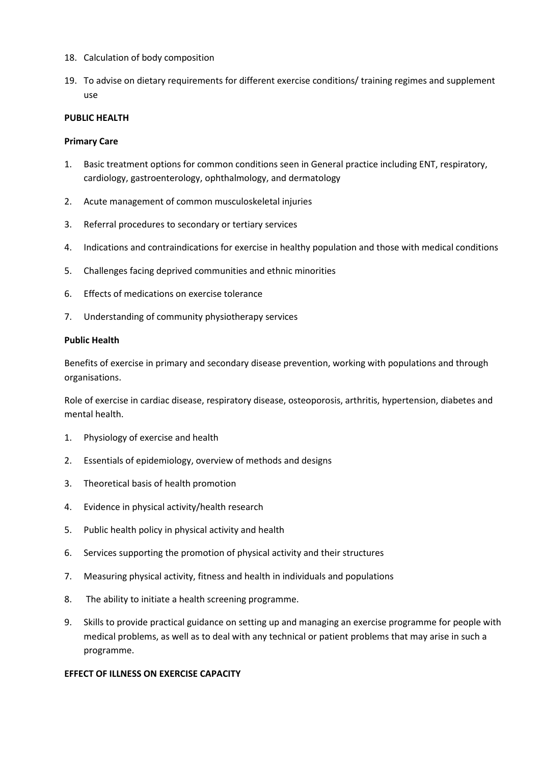- 18. Calculation of body composition
- 19. To advise on dietary requirements for different exercise conditions/ training regimes and supplement use

# **PUBLIC HEALTH**

#### **Primary Care**

- 1. Basic treatment options for common conditions seen in General practice including ENT, respiratory, cardiology, gastroenterology, ophthalmology, and dermatology
- 2. Acute management of common musculoskeletal injuries
- 3. Referral procedures to secondary or tertiary services
- 4. Indications and contraindications for exercise in healthy population and those with medical conditions
- 5. Challenges facing deprived communities and ethnic minorities
- 6. Effects of medications on exercise tolerance
- 7. Understanding of community physiotherapy services

### **Public Health**

Benefits of exercise in primary and secondary disease prevention, working with populations and through organisations.

Role of exercise in cardiac disease, respiratory disease, osteoporosis, arthritis, hypertension, diabetes and mental health.

- 1. Physiology of exercise and health
- 2. Essentials of epidemiology, overview of methods and designs
- 3. Theoretical basis of health promotion
- 4. Evidence in physical activity/health research
- 5. Public health policy in physical activity and health
- 6. Services supporting the promotion of physical activity and their structures
- 7. Measuring physical activity, fitness and health in individuals and populations
- 8. The ability to initiate a health screening programme.
- 9. Skills to provide practical guidance on setting up and managing an exercise programme for people with medical problems, as well as to deal with any technical or patient problems that may arise in such a programme.

# **EFFECT OF ILLNESS ON EXERCISE CAPACITY**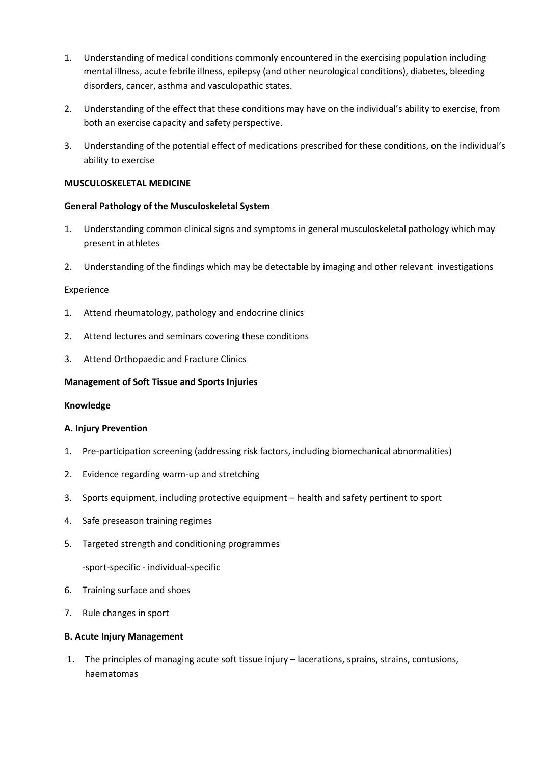- 1. Understanding of medical conditions commonly encountered in the exercising population including mental illness, acute febrile illness, epilepsy (and other neurological conditions), diabetes, bleeding disorders, cancer, asthma and vasculopathic states.
- 2. Understanding of the effect that these conditions may have on the individual's ability to exercise, from both an exercise capacity and safety perspective.
- 3. Understanding of the potential effect of medications prescribed for these conditions, on the individual's ability to exercise

# **MUSCULOSKELETAL MEDICINE**

# **General Pathology of the Musculoskeletal System**

- 1. Understanding common clinical signs and symptoms in general musculoskeletal pathology which may present in athletes
- 2. Understanding of the findings which may be detectable by imaging and other relevant investigations

### Experience

- 1. Attend rheumatology, pathology and endocrine clinics
- 2. Attend lectures and seminars covering these conditions
- 3. Attend Orthopaedic and Fracture Clinics

# **Management of Soft Tissue and Sports Injuries**

### **Knowledge**

### **A. Injury Prevention**

- 1. Pre-participation screening (addressing risk factors, including biomechanical abnormalities)
- 2. Evidence regarding warm-up and stretching
- 3. Sports equipment, including protective equipment health and safety pertinent to sport
- 4. Safe preseason training regimes
- 5. Targeted strength and conditioning programmes

-sport-specific - individual-specific

- 6. Training surface and shoes
- 7. Rule changes in sport

### **B. Acute Injury Management**

1. The principles of managing acute soft tissue injury – lacerations, sprains, strains, contusions, haematomas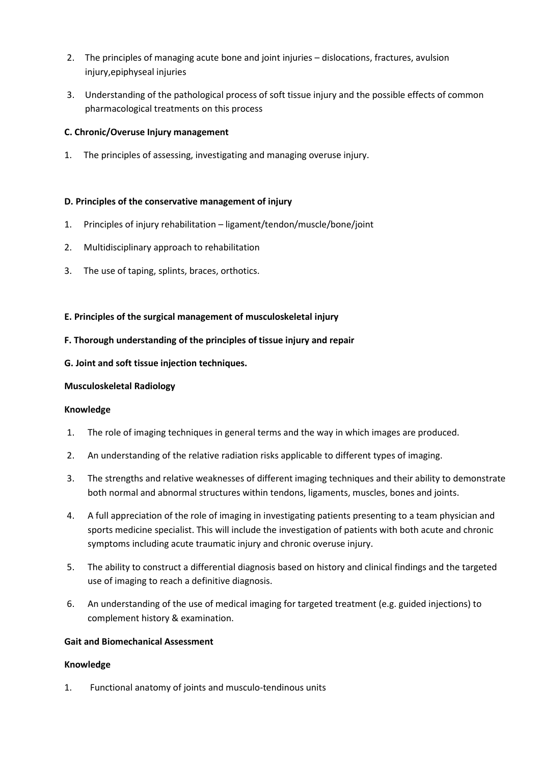- 2. The principles of managing acute bone and joint injuries dislocations, fractures, avulsion injury,epiphyseal injuries
- 3. Understanding of the pathological process of soft tissue injury and the possible effects of common pharmacological treatments on this process

# **C. Chronic/Overuse Injury management**

1. The principles of assessing, investigating and managing overuse injury.

# **D. Principles of the conservative management of injury**

- 1. Principles of injury rehabilitation ligament/tendon/muscle/bone/joint
- 2. Multidisciplinary approach to rehabilitation
- 3. The use of taping, splints, braces, orthotics.

# **E. Principles of the surgical management of musculoskeletal injury**

# **F. Thorough understanding of the principles of tissue injury and repair**

# **G. Joint and soft tissue injection techniques.**

# **Musculoskeletal Radiology**

# **Knowledge**

- 1. The role of imaging techniques in general terms and the way in which images are produced.
- 2. An understanding of the relative radiation risks applicable to different types of imaging.
- 3. The strengths and relative weaknesses of different imaging techniques and their ability to demonstrate both normal and abnormal structures within tendons, ligaments, muscles, bones and joints.
- 4. A full appreciation of the role of imaging in investigating patients presenting to a team physician and sports medicine specialist. This will include the investigation of patients with both acute and chronic symptoms including acute traumatic injury and chronic overuse injury.
- 5. The ability to construct a differential diagnosis based on history and clinical findings and the targeted use of imaging to reach a definitive diagnosis.
- 6. An understanding of the use of medical imaging for targeted treatment (e.g. guided injections) to complement history & examination.

# **Gait and Biomechanical Assessment**

# **Knowledge**

1. Functional anatomy of joints and musculo-tendinous units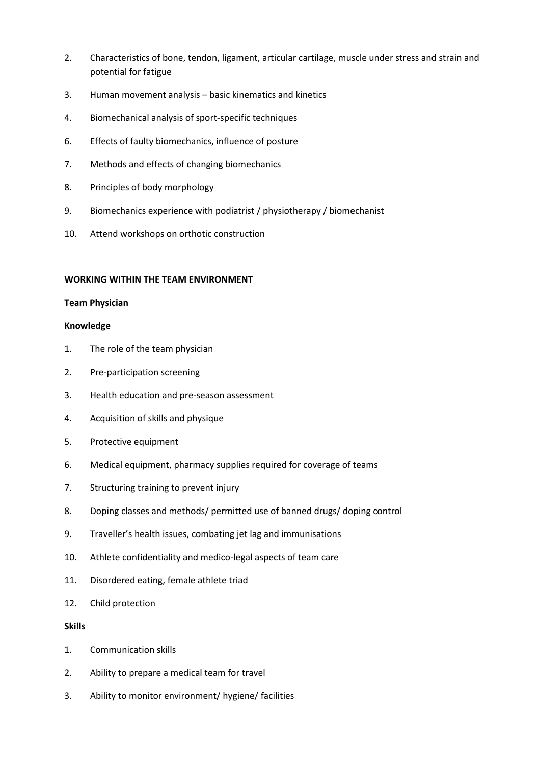- 2. Characteristics of bone, tendon, ligament, articular cartilage, muscle under stress and strain and potential for fatigue
- 3. Human movement analysis basic kinematics and kinetics
- 4. Biomechanical analysis of sport-specific techniques
- 6. Effects of faulty biomechanics, influence of posture
- 7. Methods and effects of changing biomechanics
- 8. Principles of body morphology
- 9. Biomechanics experience with podiatrist / physiotherapy / biomechanist
- 10. Attend workshops on orthotic construction

# **WORKING WITHIN THE TEAM ENVIRONMENT**

# **Team Physician**

# **Knowledge**

- 1. The role of the team physician
- 2. Pre-participation screening
- 3. Health education and pre-season assessment
- 4. Acquisition of skills and physique
- 5. Protective equipment
- 6. Medical equipment, pharmacy supplies required for coverage of teams
- 7. Structuring training to prevent injury
- 8. Doping classes and methods/ permitted use of banned drugs/ doping control
- 9. Traveller's health issues, combating jet lag and immunisations
- 10. Athlete confidentiality and medico-legal aspects of team care
- 11. Disordered eating, female athlete triad
- 12. Child protection

# **Skills**

- 1. Communication skills
- 2. Ability to prepare a medical team for travel
- 3. Ability to monitor environment/ hygiene/ facilities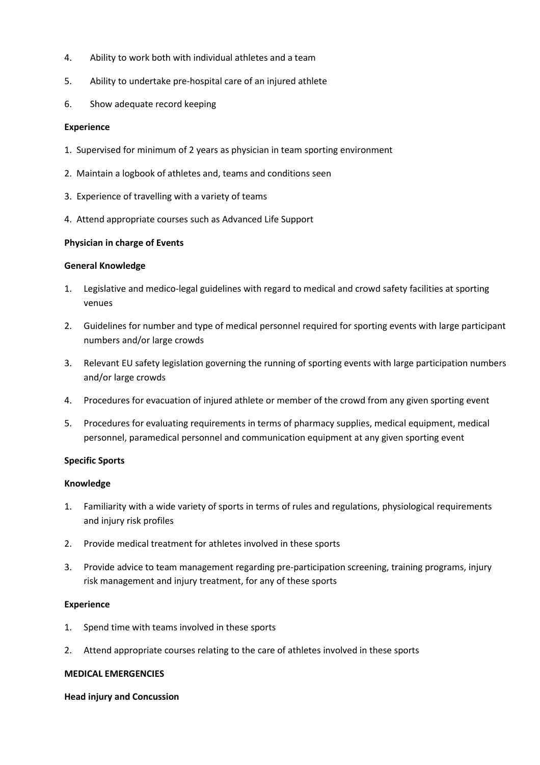- 4. Ability to work both with individual athletes and a team
- 5. Ability to undertake pre-hospital care of an injured athlete
- 6. Show adequate record keeping

### **Experience**

- 1. Supervised for minimum of 2 years as physician in team sporting environment
- 2. Maintain a logbook of athletes and, teams and conditions seen
- 3. Experience of travelling with a variety of teams
- 4. Attend appropriate courses such as Advanced Life Support

### **Physician in charge of Events**

### **General Knowledge**

- 1. Legislative and medico-legal guidelines with regard to medical and crowd safety facilities at sporting venues
- 2. Guidelines for number and type of medical personnel required for sporting events with large participant numbers and/or large crowds
- 3. Relevant EU safety legislation governing the running of sporting events with large participation numbers and/or large crowds
- 4. Procedures for evacuation of injured athlete or member of the crowd from any given sporting event
- 5. Procedures for evaluating requirements in terms of pharmacy supplies, medical equipment, medical personnel, paramedical personnel and communication equipment at any given sporting event

### **Specific Sports**

### **Knowledge**

- 1. Familiarity with a wide variety of sports in terms of rules and regulations, physiological requirements and injury risk profiles
- 2. Provide medical treatment for athletes involved in these sports
- 3. Provide advice to team management regarding pre-participation screening, training programs, injury risk management and injury treatment, for any of these sports

### **Experience**

- 1. Spend time with teams involved in these sports
- 2. Attend appropriate courses relating to the care of athletes involved in these sports

# **MEDICAL EMERGENCIES**

### **Head injury and Concussion**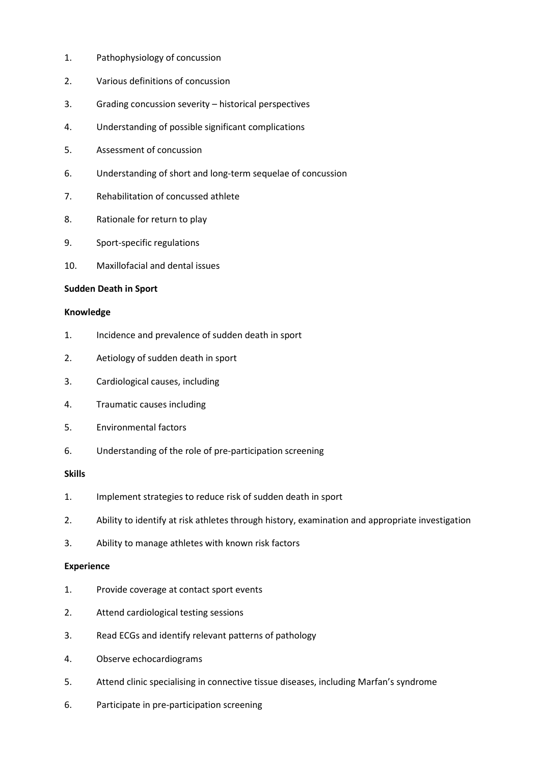- 1. Pathophysiology of concussion
- 2. Various definitions of concussion
- 3. Grading concussion severity historical perspectives
- 4. Understanding of possible significant complications
- 5. Assessment of concussion
- 6. Understanding of short and long-term sequelae of concussion
- 7. Rehabilitation of concussed athlete
- 8. Rationale for return to play
- 9. Sport-specific regulations
- 10. Maxillofacial and dental issues

#### **Sudden Death in Sport**

#### **Knowledge**

- 1. Incidence and prevalence of sudden death in sport
- 2. Aetiology of sudden death in sport
- 3. Cardiological causes, including
- 4. Traumatic causes including
- 5. Environmental factors
- 6. Understanding of the role of pre-participation screening

### **Skills**

- 1. Implement strategies to reduce risk of sudden death in sport
- 2. Ability to identify at risk athletes through history, examination and appropriate investigation
- 3. Ability to manage athletes with known risk factors

### **Experience**

- 1. Provide coverage at contact sport events
- 2. Attend cardiological testing sessions
- 3. Read ECGs and identify relevant patterns of pathology
- 4. Observe echocardiograms
- 5. Attend clinic specialising in connective tissue diseases, including Marfan's syndrome
- 6. Participate in pre-participation screening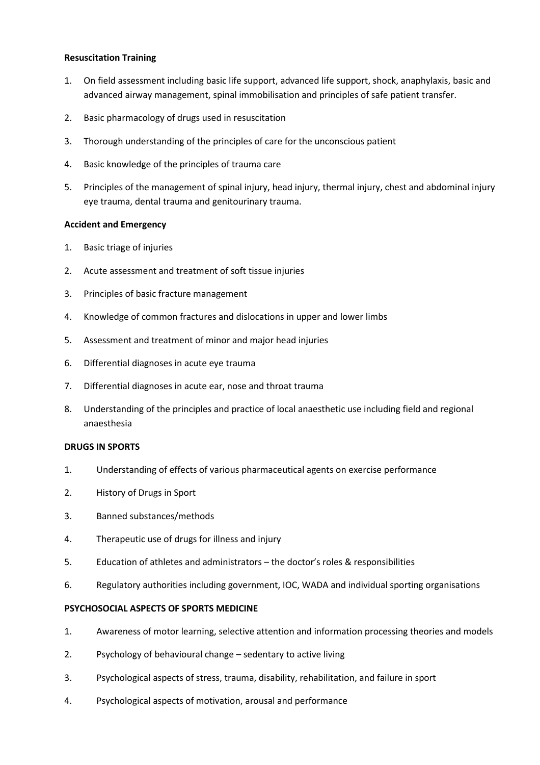# **Resuscitation Training**

- 1. On field assessment including basic life support, advanced life support, shock, anaphylaxis, basic and advanced airway management, spinal immobilisation and principles of safe patient transfer.
- 2. Basic pharmacology of drugs used in resuscitation
- 3. Thorough understanding of the principles of care for the unconscious patient
- 4. Basic knowledge of the principles of trauma care
- 5. Principles of the management of spinal injury, head injury, thermal injury, chest and abdominal injury eye trauma, dental trauma and genitourinary trauma.

### **Accident and Emergency**

- 1. Basic triage of injuries
- 2. Acute assessment and treatment of soft tissue injuries
- 3. Principles of basic fracture management
- 4. Knowledge of common fractures and dislocations in upper and lower limbs
- 5. Assessment and treatment of minor and major head injuries
- 6. Differential diagnoses in acute eye trauma
- 7. Differential diagnoses in acute ear, nose and throat trauma
- 8. Understanding of the principles and practice of local anaesthetic use including field and regional anaesthesia

### **DRUGS IN SPORTS**

- 1. Understanding of effects of various pharmaceutical agents on exercise performance
- 2. History of Drugs in Sport
- 3. Banned substances/methods
- 4. Therapeutic use of drugs for illness and injury
- 5. Education of athletes and administrators the doctor's roles & responsibilities
- 6. Regulatory authorities including government, IOC, WADA and individual sporting organisations

### **PSYCHOSOCIAL ASPECTS OF SPORTS MEDICINE**

- 1. Awareness of motor learning, selective attention and information processing theories and models
- 2. Psychology of behavioural change sedentary to active living
- 3. Psychological aspects of stress, trauma, disability, rehabilitation, and failure in sport
- 4. Psychological aspects of motivation, arousal and performance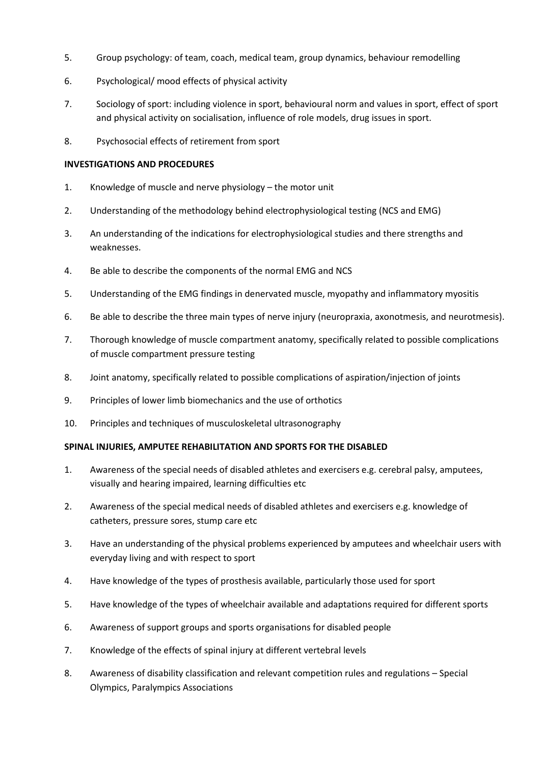- 5. Group psychology: of team, coach, medical team, group dynamics, behaviour remodelling
- 6. Psychological/ mood effects of physical activity
- 7. Sociology of sport: including violence in sport, behavioural norm and values in sport, effect of sport and physical activity on socialisation, influence of role models, drug issues in sport.
- 8. Psychosocial effects of retirement from sport

# **INVESTIGATIONS AND PROCEDURES**

- 1. Knowledge of muscle and nerve physiology the motor unit
- 2. Understanding of the methodology behind electrophysiological testing (NCS and EMG)
- 3. An understanding of the indications for electrophysiological studies and there strengths and weaknesses.
- 4. Be able to describe the components of the normal EMG and NCS
- 5. Understanding of the EMG findings in denervated muscle, myopathy and inflammatory myositis
- 6. Be able to describe the three main types of nerve injury (neuropraxia, axonotmesis, and neurotmesis).
- 7. Thorough knowledge of muscle compartment anatomy, specifically related to possible complications of muscle compartment pressure testing
- 8. Joint anatomy, specifically related to possible complications of aspiration/injection of joints
- 9. Principles of lower limb biomechanics and the use of orthotics
- 10. Principles and techniques of musculoskeletal ultrasonography

### **SPINAL INJURIES, AMPUTEE REHABILITATION AND SPORTS FOR THE DISABLED**

- 1. Awareness of the special needs of disabled athletes and exercisers e.g. cerebral palsy, amputees, visually and hearing impaired, learning difficulties etc
- 2. Awareness of the special medical needs of disabled athletes and exercisers e.g. knowledge of catheters, pressure sores, stump care etc
- 3. Have an understanding of the physical problems experienced by amputees and wheelchair users with everyday living and with respect to sport
- 4. Have knowledge of the types of prosthesis available, particularly those used for sport
- 5. Have knowledge of the types of wheelchair available and adaptations required for different sports
- 6. Awareness of support groups and sports organisations for disabled people
- 7. Knowledge of the effects of spinal injury at different vertebral levels
- 8. Awareness of disability classification and relevant competition rules and regulations Special Olympics, Paralympics Associations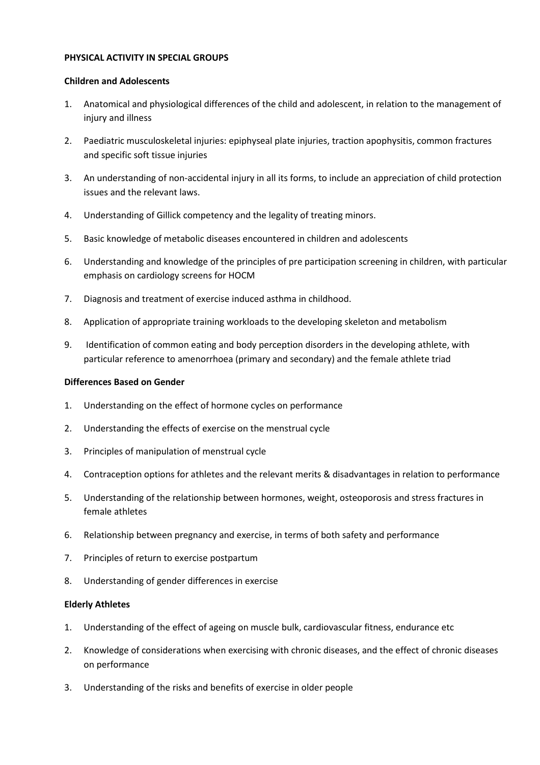### **PHYSICAL ACTIVITY IN SPECIAL GROUPS**

#### **Children and Adolescents**

- 1. Anatomical and physiological differences of the child and adolescent, in relation to the management of injury and illness
- 2. Paediatric musculoskeletal injuries: epiphyseal plate injuries, traction apophysitis, common fractures and specific soft tissue injuries
- 3. An understanding of non-accidental injury in all its forms, to include an appreciation of child protection issues and the relevant laws.
- 4. Understanding of Gillick competency and the legality of treating minors.
- 5. Basic knowledge of metabolic diseases encountered in children and adolescents
- 6. Understanding and knowledge of the principles of pre participation screening in children, with particular emphasis on cardiology screens for HOCM
- 7. Diagnosis and treatment of exercise induced asthma in childhood.
- 8. Application of appropriate training workloads to the developing skeleton and metabolism
- 9. Identification of common eating and body perception disorders in the developing athlete, with particular reference to amenorrhoea (primary and secondary) and the female athlete triad

#### **Differences Based on Gender**

- 1. Understanding on the effect of hormone cycles on performance
- 2. Understanding the effects of exercise on the menstrual cycle
- 3. Principles of manipulation of menstrual cycle
- 4. Contraception options for athletes and the relevant merits & disadvantages in relation to performance
- 5. Understanding of the relationship between hormones, weight, osteoporosis and stress fractures in female athletes
- 6. Relationship between pregnancy and exercise, in terms of both safety and performance
- 7. Principles of return to exercise postpartum
- 8. Understanding of gender differences in exercise

#### **Elderly Athletes**

- 1. Understanding of the effect of ageing on muscle bulk, cardiovascular fitness, endurance etc
- 2. Knowledge of considerations when exercising with chronic diseases, and the effect of chronic diseases on performance
- 3. Understanding of the risks and benefits of exercise in older people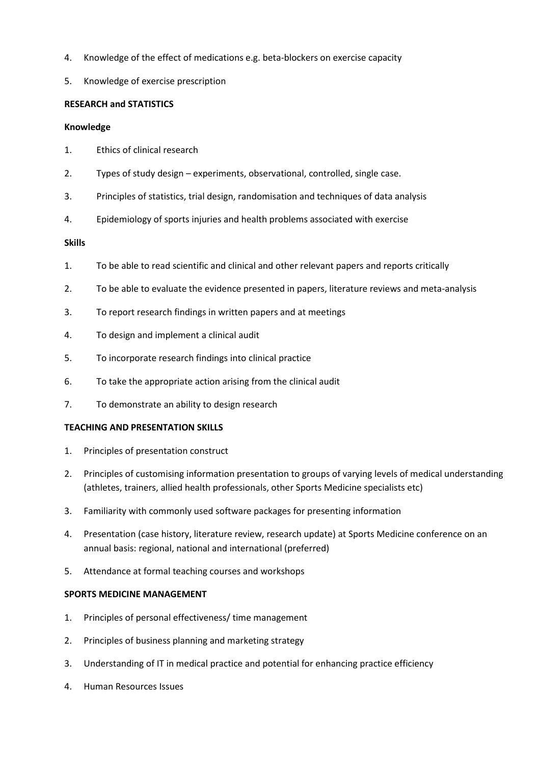- 4. Knowledge of the effect of medications e.g. beta-blockers on exercise capacity
- 5. Knowledge of exercise prescription

# **RESEARCH and STATISTICS**

# **Knowledge**

- 1. Ethics of clinical research
- 2. Types of study design experiments, observational, controlled, single case.
- 3. Principles of statistics, trial design, randomisation and techniques of data analysis
- 4. Epidemiology of sports injuries and health problems associated with exercise

# **Skills**

- 1. To be able to read scientific and clinical and other relevant papers and reports critically
- 2. To be able to evaluate the evidence presented in papers, literature reviews and meta-analysis
- 3. To report research findings in written papers and at meetings
- 4. To design and implement a clinical audit
- 5. To incorporate research findings into clinical practice
- 6. To take the appropriate action arising from the clinical audit
- 7. To demonstrate an ability to design research

### **TEACHING AND PRESENTATION SKILLS**

- 1. Principles of presentation construct
- 2. Principles of customising information presentation to groups of varying levels of medical understanding (athletes, trainers, allied health professionals, other Sports Medicine specialists etc)
- 3. Familiarity with commonly used software packages for presenting information
- 4. Presentation (case history, literature review, research update) at Sports Medicine conference on an annual basis: regional, national and international (preferred)
- 5. Attendance at formal teaching courses and workshops

### **SPORTS MEDICINE MANAGEMENT**

- 1. Principles of personal effectiveness/ time management
- 2. Principles of business planning and marketing strategy
- 3. Understanding of IT in medical practice and potential for enhancing practice efficiency
- 4. Human Resources Issues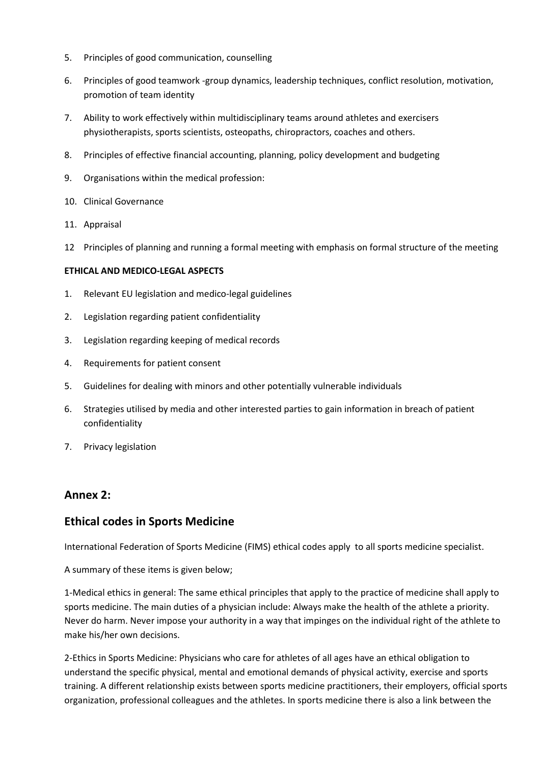- 5. Principles of good communication, counselling
- 6. Principles of good teamwork -group dynamics, leadership techniques, conflict resolution, motivation, promotion of team identity
- 7. Ability to work effectively within multidisciplinary teams around athletes and exercisers physiotherapists, sports scientists, osteopaths, chiropractors, coaches and others.
- 8. Principles of effective financial accounting, planning, policy development and budgeting
- 9. Organisations within the medical profession:
- 10. Clinical Governance
- 11. Appraisal
- 12 Principles of planning and running a formal meeting with emphasis on formal structure of the meeting

### **ETHICAL AND MEDICO-LEGAL ASPECTS**

- 1. Relevant EU legislation and medico-legal guidelines
- 2. Legislation regarding patient confidentiality
- 3. Legislation regarding keeping of medical records
- 4. Requirements for patient consent
- 5. Guidelines for dealing with minors and other potentially vulnerable individuals
- 6. Strategies utilised by media and other interested parties to gain information in breach of patient confidentiality
- 7. Privacy legislation

# **Annex 2:**

# **Ethical codes in Sports Medicine**

International Federation of Sports Medicine (FIMS) ethical codes apply to all sports medicine specialist.

A summary of these items is given below;

1-Medical ethics in general: The same ethical principles that apply to the practice of medicine shall apply to sports medicine. The main duties of a physician include: Always make the health of the athlete a priority. Never do harm. Never impose your authority in a way that impinges on the individual right of the athlete to make his/her own decisions.

2-Ethics in Sports Medicine: Physicians who care for athletes of all ages have an ethical obligation to understand the specific physical, mental and emotional demands of physical activity, exercise and sports training. A different relationship exists between sports medicine practitioners, their employers, official sports organization, professional colleagues and the athletes. In sports medicine there is also a link between the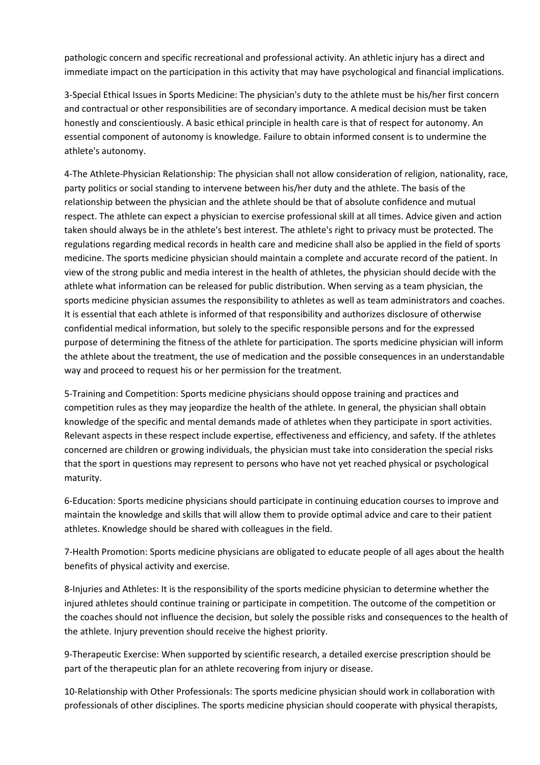pathologic concern and specific recreational and professional activity. An athletic injury has a direct and immediate impact on the participation in this activity that may have psychological and financial implications.

3-Special Ethical Issues in Sports Medicine: The physician's duty to the athlete must be his/her first concern and contractual or other responsibilities are of secondary importance. A medical decision must be taken honestly and conscientiously. A basic ethical principle in health care is that of respect for autonomy. An essential component of autonomy is knowledge. Failure to obtain informed consent is to undermine the athlete's autonomy.

4-The Athlete-Physician Relationship: The physician shall not allow consideration of religion, nationality, race, party politics or social standing to intervene between his/her duty and the athlete. The basis of the relationship between the physician and the athlete should be that of absolute confidence and mutual respect. The athlete can expect a physician to exercise professional skill at all times. Advice given and action taken should always be in the athlete's best interest. The athlete's right to privacy must be protected. The regulations regarding medical records in health care and medicine shall also be applied in the field of sports medicine. The sports medicine physician should maintain a complete and accurate record of the patient. In view of the strong public and media interest in the health of athletes, the physician should decide with the athlete what information can be released for public distribution. When serving as a team physician, the sports medicine physician assumes the responsibility to athletes as well as team administrators and coaches. It is essential that each athlete is informed of that responsibility and authorizes disclosure of otherwise confidential medical information, but solely to the specific responsible persons and for the expressed purpose of determining the fitness of the athlete for participation. The sports medicine physician will inform the athlete about the treatment, the use of medication and the possible consequences in an understandable way and proceed to request his or her permission for the treatment.

5-Training and Competition: Sports medicine physicians should oppose training and practices and competition rules as they may jeopardize the health of the athlete. In general, the physician shall obtain knowledge of the specific and mental demands made of athletes when they participate in sport activities. Relevant aspects in these respect include expertise, effectiveness and efficiency, and safety. If the athletes concerned are children or growing individuals, the physician must take into consideration the special risks that the sport in questions may represent to persons who have not yet reached physical or psychological maturity.

6-Education: Sports medicine physicians should participate in continuing education courses to improve and maintain the knowledge and skills that will allow them to provide optimal advice and care to their patient athletes. Knowledge should be shared with colleagues in the field.

7-Health Promotion: Sports medicine physicians are obligated to educate people of all ages about the health benefits of physical activity and exercise.

8-Injuries and Athletes: It is the responsibility of the sports medicine physician to determine whether the injured athletes should continue training or participate in competition. The outcome of the competition or the coaches should not influence the decision, but solely the possible risks and consequences to the health of the athlete. Injury prevention should receive the highest priority.

9-Therapeutic Exercise: When supported by scientific research, a detailed exercise prescription should be part of the therapeutic plan for an athlete recovering from injury or disease.

10-Relationship with Other Professionals: The sports medicine physician should work in collaboration with professionals of other disciplines. The sports medicine physician should cooperate with physical therapists,